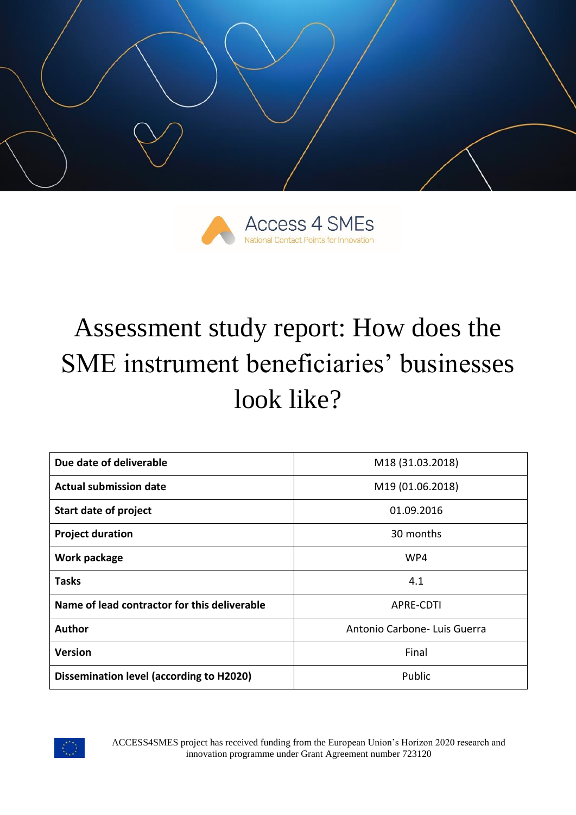



# Assessment study report: How does the SME instrument beneficiaries' businesses look like?

| Due date of deliverable                         | M18 (31.03.2018)             |  |  |
|-------------------------------------------------|------------------------------|--|--|
| <b>Actual submission date</b>                   | M19 (01.06.2018)             |  |  |
| <b>Start date of project</b>                    | 01.09.2016                   |  |  |
| <b>Project duration</b>                         | 30 months                    |  |  |
| Work package                                    | WP4                          |  |  |
| <b>Tasks</b>                                    | 4.1                          |  |  |
| Name of lead contractor for this deliverable    | <b>APRE-CDTI</b>             |  |  |
| <b>Author</b>                                   | Antonio Carbone- Luis Guerra |  |  |
| <b>Version</b>                                  | Final                        |  |  |
| <b>Dissemination level (according to H2020)</b> | Public                       |  |  |



ACCESS4SMES project has received funding from the European Union's Horizon 2020 research and innovation programme under Grant Agreement number 723120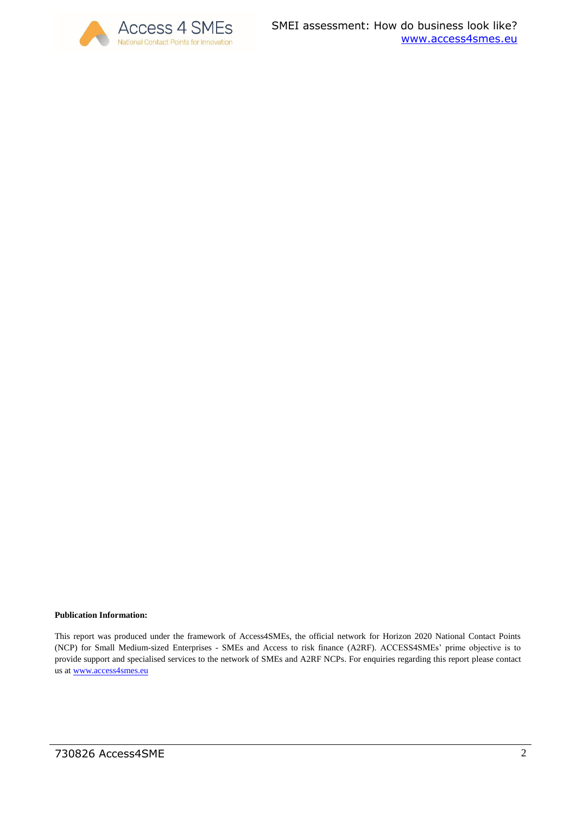

#### **Publication Information:**

This report was produced under the framework of Access4SMEs, the official network for Horizon 2020 National Contact Points (NCP) for Small Medium-sized Enterprises - SMEs and Access to risk finance (A2RF). ACCESS4SMEs' prime objective is to provide support and specialised services to the network of SMEs and A2RF NCPs. For enquiries regarding this report please contact us at [www.access4smes.eu](http://www.access4smes.eu/)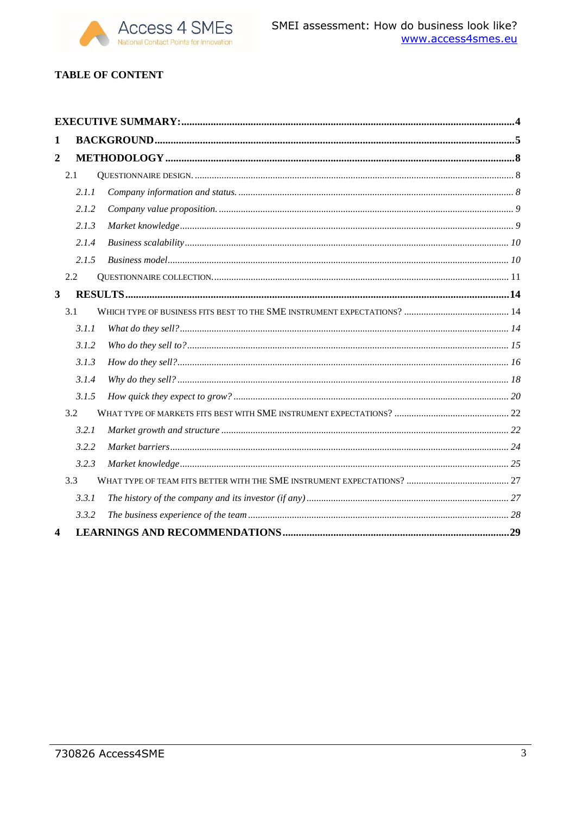

## **TABLE OF CONTENT**

| 1              |       |  |  |
|----------------|-------|--|--|
| $\overline{2}$ |       |  |  |
|                | 2.1   |  |  |
|                | 2.1.1 |  |  |
|                | 2.1.2 |  |  |
|                | 2.1.3 |  |  |
|                | 2.1.4 |  |  |
|                | 2.1.5 |  |  |
|                | 2.2   |  |  |
| $\mathbf{3}$   |       |  |  |
|                | 3.1   |  |  |
|                | 3.1.1 |  |  |
|                | 3.1.2 |  |  |
|                | 3.1.3 |  |  |
|                | 3.1.4 |  |  |
|                | 3.1.5 |  |  |
|                | 3.2   |  |  |
|                | 3.2.1 |  |  |
|                | 3.2.2 |  |  |
|                | 3.2.3 |  |  |
|                | 3.3   |  |  |
|                | 3.3.1 |  |  |
|                | 3.3.2 |  |  |
| 4              |       |  |  |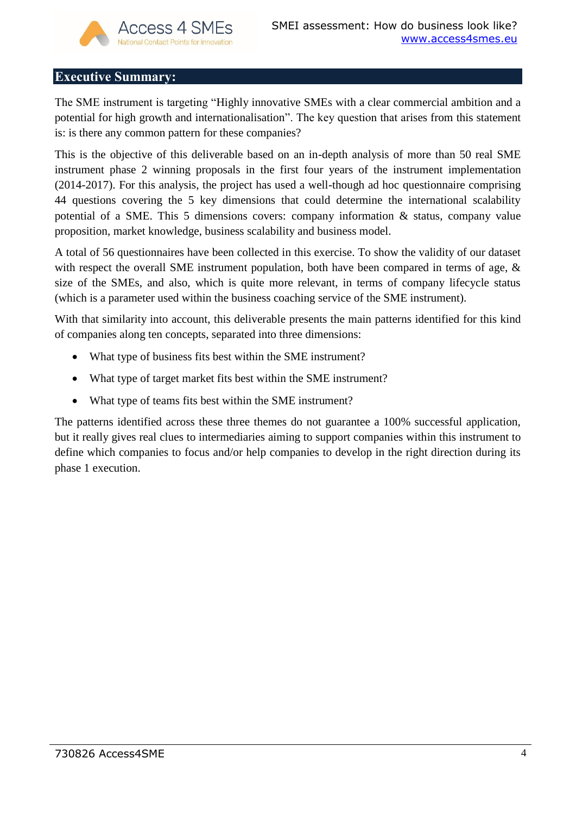## <span id="page-3-0"></span>**Executive Summary:**

The SME instrument is targeting "Highly innovative SMEs with a clear commercial ambition and a potential for high growth and internationalisation". The key question that arises from this statement is: is there any common pattern for these companies?

This is the objective of this deliverable based on an in-depth analysis of more than 50 real SME instrument phase 2 winning proposals in the first four years of the instrument implementation (2014-2017). For this analysis, the project has used a well-though ad hoc questionnaire comprising 44 questions covering the 5 key dimensions that could determine the international scalability potential of a SME. This 5 dimensions covers: company information & status, company value proposition, market knowledge, business scalability and business model.

A total of 56 questionnaires have been collected in this exercise. To show the validity of our dataset with respect the overall SME instrument population, both have been compared in terms of age,  $\&$ size of the SMEs, and also, which is quite more relevant, in terms of company lifecycle status (which is a parameter used within the business coaching service of the SME instrument).

With that similarity into account, this deliverable presents the main patterns identified for this kind of companies along ten concepts, separated into three dimensions:

- What type of business fits best within the SME instrument?
- What type of target market fits best within the SME instrument?
- What type of teams fits best within the SME instrument?

The patterns identified across these three themes do not guarantee a 100% successful application, but it really gives real clues to intermediaries aiming to support companies within this instrument to define which companies to focus and/or help companies to develop in the right direction during its phase 1 execution.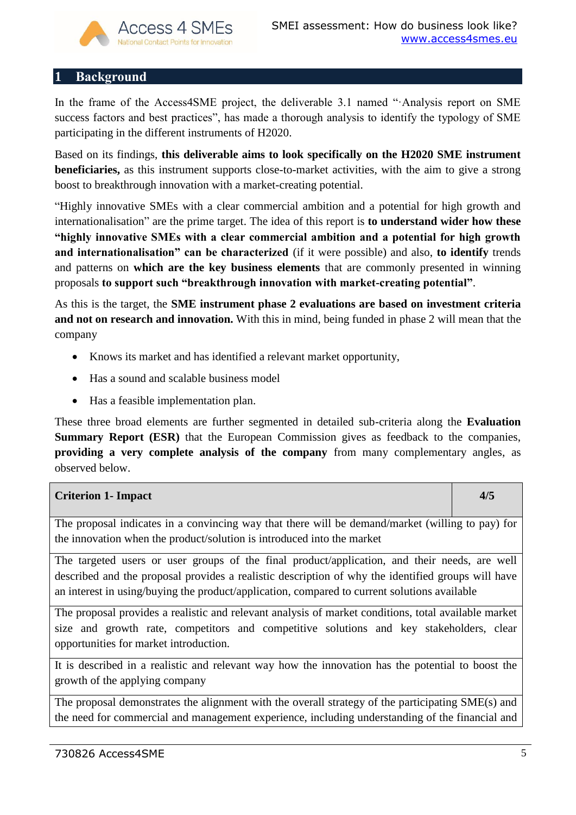## <span id="page-4-0"></span>**1 Background**

In the frame of the Access4SME project, the deliverable 3.1 named "·Analysis report on SME success factors and best practices", has made a thorough analysis to identify the typology of SME participating in the different instruments of H2020.

Based on its findings, **this deliverable aims to look specifically on the H2020 SME instrument beneficiaries,** as this instrument supports close-to-market activities, with the aim to give a strong boost to breakthrough innovation with a market-creating potential.

"Highly innovative SMEs with a clear commercial ambition and a potential for high growth and internationalisation" are the prime target. The idea of this report is **to understand wider how these "highly innovative SMEs with a clear commercial ambition and a potential for high growth and internationalisation" can be characterized** (if it were possible) and also, **to identify** trends and patterns on **which are the key business elements** that are commonly presented in winning proposals **to support such "breakthrough innovation with market-creating potential"**.

As this is the target, the **SME instrument phase 2 evaluations are based on investment criteria and not on research and innovation.** With this in mind, being funded in phase 2 will mean that the company

- Knows its market and has identified a relevant market opportunity,
- Has a sound and scalable business model
- Has a feasible implementation plan.

These three broad elements are further segmented in detailed sub-criteria along the **Evaluation Summary Report (ESR)** that the European Commission gives as feedback to the companies, **providing a very complete analysis of the company** from many complementary angles, as observed below.

| <b>Criterion 1- Impact</b>                                                                                                                                                                                                                                                                          | 4/5 |  |  |
|-----------------------------------------------------------------------------------------------------------------------------------------------------------------------------------------------------------------------------------------------------------------------------------------------------|-----|--|--|
| The proposal indicates in a convincing way that there will be demand/market (willing to pay) for<br>the innovation when the product/solution is introduced into the market                                                                                                                          |     |  |  |
| The targeted users or user groups of the final product/application, and their needs, are well<br>described and the proposal provides a realistic description of why the identified groups will have<br>an interest in using/buying the product/application, compared to current solutions available |     |  |  |
| The proposal provides a realistic and relevant analysis of market conditions, total available market<br>size and growth rate, competitors and competitive solutions and key stakeholders, clear<br>opportunities for market introduction.                                                           |     |  |  |
| It is described in a realistic and relevant way how the innovation has the potential to boost the<br>growth of the applying company                                                                                                                                                                 |     |  |  |
| The proposal demonstrates the alignment with the overall strategy of the participating SME(s) and<br>the need for commercial and management experience, including understanding of the financial and                                                                                                |     |  |  |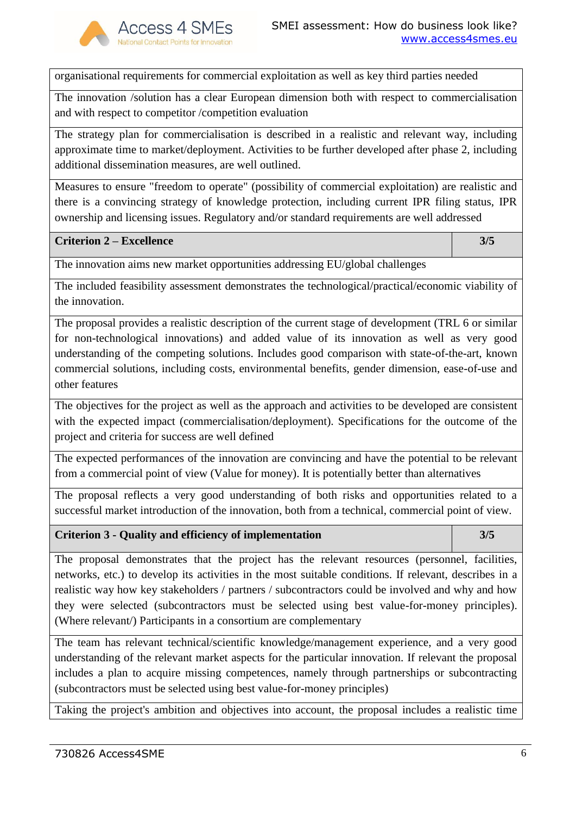

organisational requirements for commercial exploitation as well as key third parties needed

The innovation /solution has a clear European dimension both with respect to commercialisation and with respect to competitor /competition evaluation

The strategy plan for commercialisation is described in a realistic and relevant way, including approximate time to market/deployment. Activities to be further developed after phase 2, including additional dissemination measures, are well outlined.

Measures to ensure "freedom to operate" (possibility of commercial exploitation) are realistic and there is a convincing strategy of knowledge protection, including current IPR filing status, IPR ownership and licensing issues. Regulatory and/or standard requirements are well addressed

#### **Criterion 2 – Excellence 3/5**

The innovation aims new market opportunities addressing EU/global challenges

The included feasibility assessment demonstrates the technological/practical/economic viability of the innovation.

The proposal provides a realistic description of the current stage of development (TRL 6 or similar for non-technological innovations) and added value of its innovation as well as very good understanding of the competing solutions. Includes good comparison with state-of-the-art, known commercial solutions, including costs, environmental benefits, gender dimension, ease-of-use and other features

The objectives for the project as well as the approach and activities to be developed are consistent with the expected impact (commercialisation/deployment). Specifications for the outcome of the project and criteria for success are well defined

The expected performances of the innovation are convincing and have the potential to be relevant from a commercial point of view (Value for money). It is potentially better than alternatives

The proposal reflects a very good understanding of both risks and opportunities related to a successful market introduction of the innovation, both from a technical, commercial point of view.

#### **Criterion 3 - Quality and efficiency of implementation 3/5**

The proposal demonstrates that the project has the relevant resources (personnel, facilities, networks, etc.) to develop its activities in the most suitable conditions. If relevant, describes in a realistic way how key stakeholders / partners / subcontractors could be involved and why and how they were selected (subcontractors must be selected using best value-for-money principles). (Where relevant/) Participants in a consortium are complementary

The team has relevant technical/scientific knowledge/management experience, and a very good understanding of the relevant market aspects for the particular innovation. If relevant the proposal includes a plan to acquire missing competences, namely through partnerships or subcontracting (subcontractors must be selected using best value-for-money principles)

Taking the project's ambition and objectives into account, the proposal includes a realistic time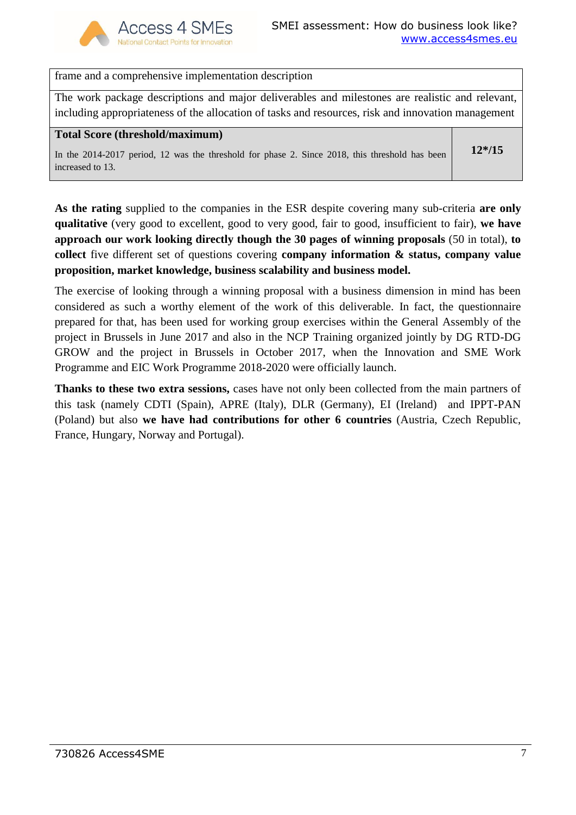

frame and a comprehensive implementation description

The work package descriptions and major deliverables and milestones are realistic and relevant, including appropriateness of the allocation of tasks and resources, risk and innovation management

#### **Total Score (threshold/maximum)**

In the 2014-2017 period, 12 was the threshold for phase 2. Since 2018, this threshold has been increased to 13.

**12\*/15**

**As the rating** supplied to the companies in the ESR despite covering many sub-criteria **are only qualitative** (very good to excellent, good to very good, fair to good, insufficient to fair), **we have approach our work looking directly though the 30 pages of winning proposals** (50 in total), **to collect** five different set of questions covering **company information & status, company value proposition, market knowledge, business scalability and business model.** 

The exercise of looking through a winning proposal with a business dimension in mind has been considered as such a worthy element of the work of this deliverable. In fact, the questionnaire prepared for that, has been used for working group exercises within the General Assembly of the project in Brussels in June 2017 and also in the NCP Training organized jointly by DG RTD-DG GROW and the project in Brussels in October 2017, when the Innovation and SME Work Programme and EIC Work Programme 2018-2020 were officially launch.

**Thanks to these two extra sessions,** cases have not only been collected from the main partners of this task (namely CDTI (Spain), APRE (Italy), DLR (Germany), EI (Ireland) and IPPT-PAN (Poland) but also **we have had contributions for other 6 countries** (Austria, Czech Republic, France, Hungary, Norway and Portugal).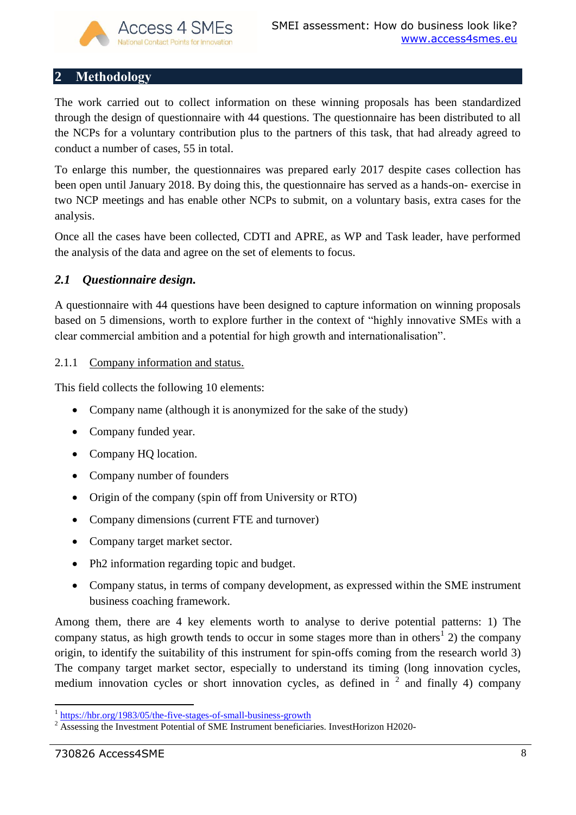# <span id="page-7-0"></span>**2 Methodology**

The work carried out to collect information on these winning proposals has been standardized through the design of questionnaire with 44 questions. The questionnaire has been distributed to all the NCPs for a voluntary contribution plus to the partners of this task, that had already agreed to conduct a number of cases, 55 in total.

To enlarge this number, the questionnaires was prepared early 2017 despite cases collection has been open until January 2018. By doing this, the questionnaire has served as a hands-on- exercise in two NCP meetings and has enable other NCPs to submit, on a voluntary basis, extra cases for the analysis.

Once all the cases have been collected, CDTI and APRE, as WP and Task leader, have performed the analysis of the data and agree on the set of elements to focus.

# <span id="page-7-1"></span>*2.1 Questionnaire design.*

A questionnaire with 44 questions have been designed to capture information on winning proposals based on 5 dimensions, worth to explore further in the context of "highly innovative SMEs with a clear commercial ambition and a potential for high growth and internationalisation".

## <span id="page-7-2"></span>2.1.1 Company information and status.

This field collects the following 10 elements:

- Company name (although it is anonymized for the sake of the study)
- Company funded year.
- Company HQ location.
- Company number of founders
- Origin of the company (spin off from University or RTO)
- Company dimensions (current FTE and turnover)
- Company target market sector.
- Ph2 information regarding topic and budget.
- Company status, in terms of company development, as expressed within the SME instrument business coaching framework.

Among them, there are 4 key elements worth to analyse to derive potential patterns: 1) The company status, as high growth tends to occur in some stages more than in others<sup>1</sup> 2) the company origin, to identify the suitability of this instrument for spin-offs coming from the research world 3) The company target market sector, especially to understand its timing (long innovation cycles, medium innovation cycles or short innovation cycles, as defined in  $2$  and finally 4) company

 $\overline{a}$ 1 <https://hbr.org/1983/05/the-five-stages-of-small-business-growth>

<sup>2</sup> Assessing the Investment Potential of SME Instrument beneficiaries. InvestHorizon H2020-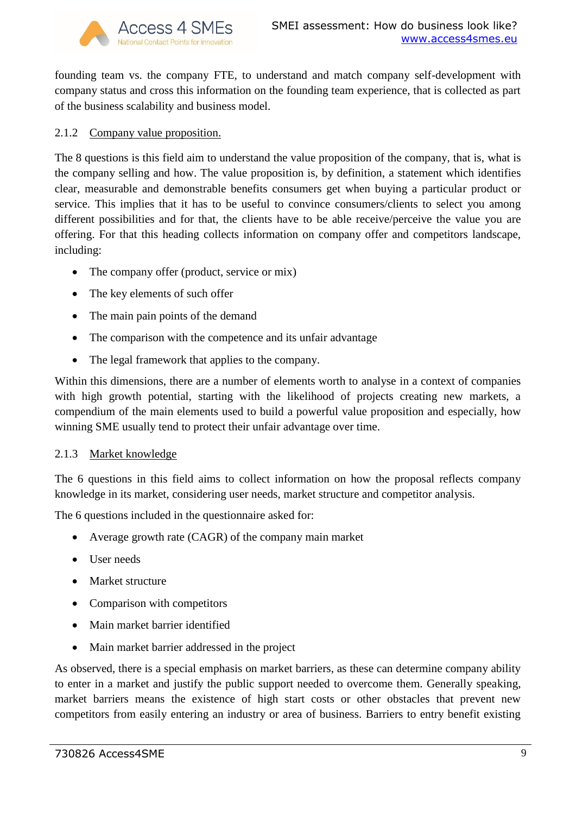

founding team vs. the company FTE, to understand and match company self-development with company status and cross this information on the founding team experience, that is collected as part of the business scalability and business model.

## <span id="page-8-0"></span>2.1.2 Company value proposition.

The 8 questions is this field aim to understand the value proposition of the company, that is, what is the company selling and how. The value proposition is, by definition, a statement which identifies clear, measurable and demonstrable benefits consumers get when buying a particular product or service. This implies that it has to be useful to convince consumers/clients to select you among different possibilities and for that, the clients have to be able receive/perceive the value you are offering. For that this heading collects information on company offer and competitors landscape, including:

- The company offer (product, service or mix)
- The key elements of such offer
- The main pain points of the demand
- The comparison with the competence and its unfair advantage
- The legal framework that applies to the company.

Within this dimensions, there are a number of elements worth to analyse in a context of companies with high growth potential, starting with the likelihood of projects creating new markets, a compendium of the main elements used to build a powerful value proposition and especially, how winning SME usually tend to protect their unfair advantage over time.

## <span id="page-8-1"></span>2.1.3 Market knowledge

The 6 questions in this field aims to collect information on how the proposal reflects company knowledge in its market, considering user needs, market structure and competitor analysis.

The 6 questions included in the questionnaire asked for:

- Average growth rate (CAGR) of the company main market
- User needs
- Market structure
- Comparison with competitors
- Main market barrier identified
- Main market barrier addressed in the project

As observed, there is a special emphasis on market barriers, as these can determine company ability to enter in a market and justify the public support needed to overcome them. Generally speaking, market barriers means the existence of high start costs or other obstacles that prevent new competitors from easily entering an industry or area of business. Barriers to entry benefit existing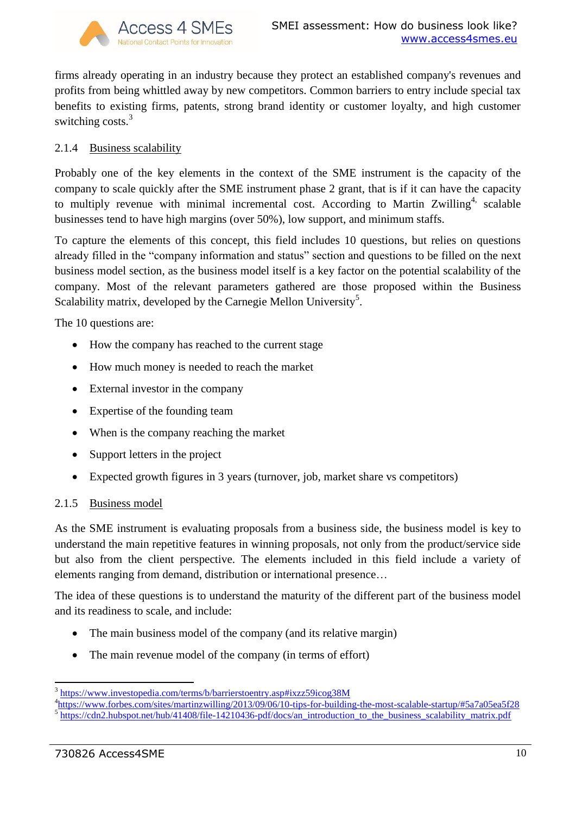

firms already operating in an industry because they protect an established company's revenues and profits from being whittled away by new competitors. Common barriers to entry include special tax benefits to existing firms, patents, strong brand identity or customer loyalty, and high customer switching costs.<sup>3</sup>

## <span id="page-9-0"></span>2.1.4 Business scalability

Probably one of the key elements in the context of the SME instrument is the capacity of the company to scale quickly after the SME instrument phase 2 grant, that is if it can have the capacity to multiply revenue with minimal incremental cost. According to Martin Zwilling<sup>4,</sup> scalable businesses tend to have high margins (over 50%), low support, and minimum staffs.

To capture the elements of this concept, this field includes 10 questions, but relies on questions already filled in the "company information and status" section and questions to be filled on the next business model section, as the business model itself is a key factor on the potential scalability of the company. Most of the relevant parameters gathered are those proposed within the Business Scalability matrix, developed by the Carnegie Mellon University<sup>5</sup>.

The 10 questions are:

- How the company has reached to the current stage
- How much money is needed to reach the market
- External investor in the company
- Expertise of the founding team
- When is the company reaching the market
- Support letters in the project
- Expected growth figures in 3 years (turnover, job, market share vs competitors)

## <span id="page-9-1"></span>2.1.5 Business model

As the SME instrument is evaluating proposals from a business side, the business model is key to understand the main repetitive features in winning proposals, not only from the product/service side but also from the client perspective. The elements included in this field include a variety of elements ranging from demand, distribution or international presence…

The idea of these questions is to understand the maturity of the different part of the business model and its readiness to scale, and include:

- The main business model of the company (and its relative margin)
- The main revenue model of the company (in terms of effort)

<sup>&</sup>lt;sup>3</sup> <https://www.investopedia.com/terms/b/barrierstoentry.asp#ixzz59icog38M>

<sup>&</sup>lt;sup>4</sup><https://www.forbes.com/sites/martinzwilling/2013/09/06/10-tips-for-building-the-most-scalable-startup/#5a7a05ea5f28>

<sup>5</sup> [https://cdn2.hubspot.net/hub/41408/file-14210436-pdf/docs/an\\_introduction\\_to\\_the\\_business\\_scalability\\_matrix.pdf](https://cdn2.hubspot.net/hub/41408/file-14210436-pdf/docs/an_introduction_to_the_business_scalability_matrix.pdf)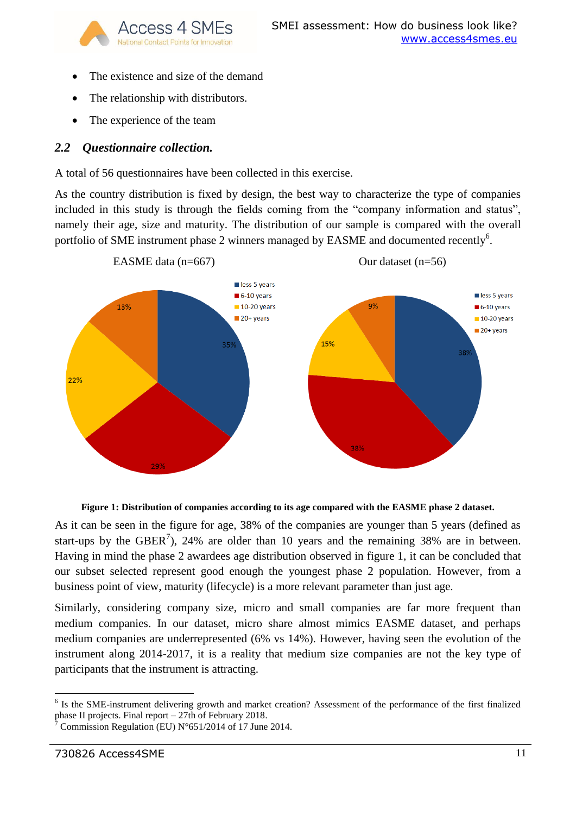

- The existence and size of the demand
- The relationship with distributors.
- The experience of the team

## <span id="page-10-0"></span>*2.2 Questionnaire collection.*

A total of 56 questionnaires have been collected in this exercise.

As the country distribution is fixed by design, the best way to characterize the type of companies included in this study is through the fields coming from the "company information and status", namely their age, size and maturity. The distribution of our sample is compared with the overall portfolio of SME instrument phase 2 winners managed by EASME and documented recently<sup>6</sup>.





As it can be seen in the figure for age, 38% of the companies are younger than 5 years (defined as start-ups by the GBER<sup>7</sup>), 24% are older than 10 years and the remaining 38% are in between. Having in mind the phase 2 awardees age distribution observed in figure 1, it can be concluded that our subset selected represent good enough the youngest phase 2 population. However, from a business point of view, maturity (lifecycle) is a more relevant parameter than just age.

Similarly, considering company size, micro and small companies are far more frequent than medium companies. In our dataset, micro share almost mimics EASME dataset, and perhaps medium companies are underrepresented (6% vs 14%). However, having seen the evolution of the instrument along 2014-2017, it is a reality that medium size companies are not the key type of participants that the instrument is attracting.

**.** 

<sup>&</sup>lt;sup>6</sup> Is the SME-instrument delivering growth and market creation? Assessment of the performance of the first finalized phase II projects. Final report – 27th of February 2018.

Commission Regulation (EU)  $N^{\circ}651/2014$  of 17 June 2014.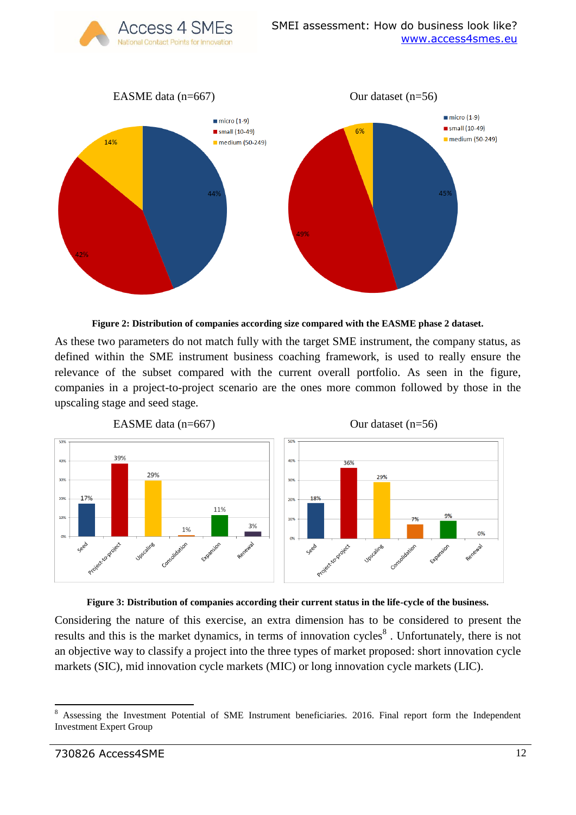EASME data  $(n=667)$  Our dataset  $(n=56)$  $min(1-9)$  $min(c)$  (1-9)  $\blacksquare$  small (10-49)  $\blacksquare$  small (10-49)  $6%$ medium (50-249) 14% medium (50-249)

Access 4 SMEs



As these two parameters do not match fully with the target SME instrument, the company status, as defined within the SME instrument business coaching framework, is used to really ensure the relevance of the subset compared with the current overall portfolio. As seen in the figure, companies in a project-to-project scenario are the ones more common followed by those in the upscaling stage and seed stage.





Considering the nature of this exercise, an extra dimension has to be considered to present the results and this is the market dynamics, in terms of innovation cycles<sup>8</sup>. Unfortunately, there is not an objective way to classify a project into the three types of market proposed: short innovation cycle markets (SIC), mid innovation cycle markets (MIC) or long innovation cycle markets (LIC).

 $\overline{a}$ <sup>8</sup> Assessing the Investment Potential of SME Instrument beneficiaries. 2016. Final report form the Independent Investment Expert Group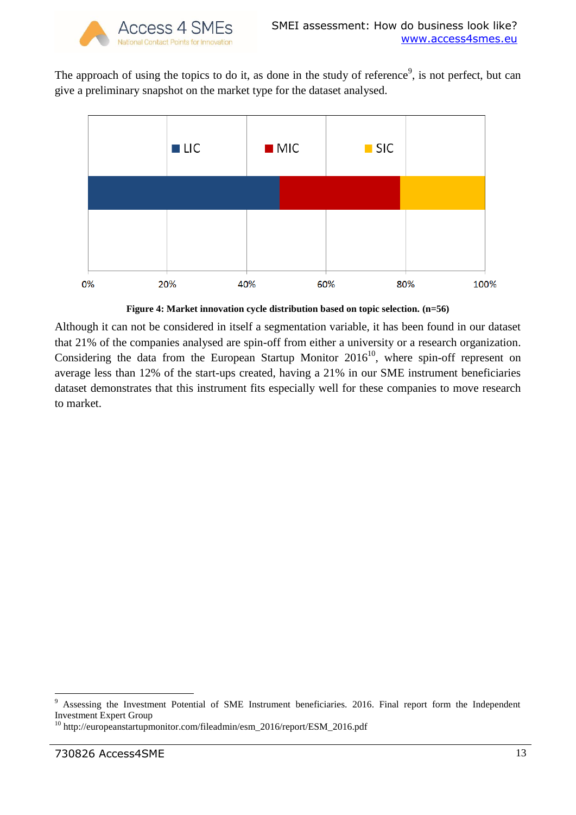The approach of using the topics to do it, as done in the study of reference<sup>9</sup>, is not perfect, but can give a preliminary snapshot on the market type for the dataset analysed.



**Figure 4: Market innovation cycle distribution based on topic selection. (n=56)**

Although it can not be considered in itself a segmentation variable, it has been found in our dataset that 21% of the companies analysed are spin-off from either a university or a research organization. Considering the data from the European Startup Monitor  $2016^{10}$ , where spin-off represent on average less than 12% of the start-ups created, having a 21% in our SME instrument beneficiaries dataset demonstrates that this instrument fits especially well for these companies to move research to market.

**.** 

<sup>&</sup>lt;sup>9</sup> Assessing the Investment Potential of SME Instrument beneficiaries. 2016. Final report form the Independent Investment Expert Group

<sup>10</sup> http://europeanstartupmonitor.com/fileadmin/esm\_2016/report/ESM\_2016.pdf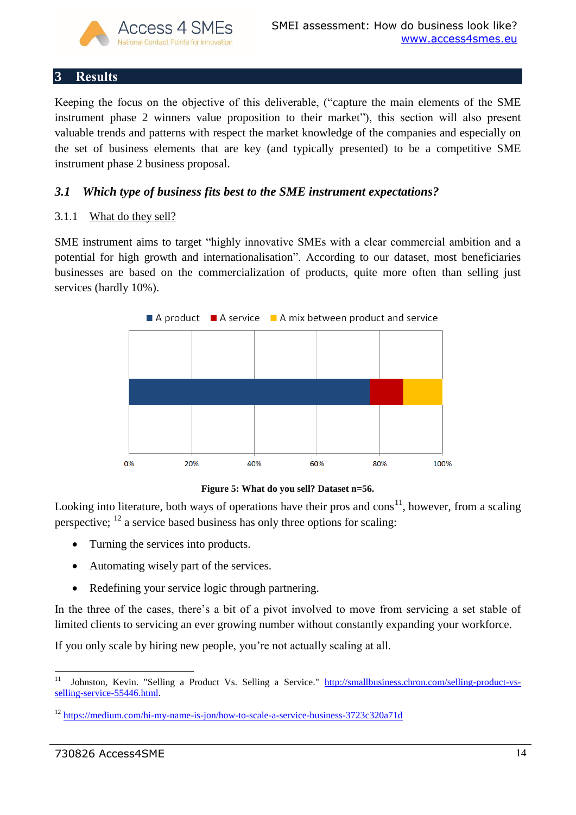

# <span id="page-13-0"></span>**3 Results**

Keeping the focus on the objective of this deliverable, ("capture the main elements of the SME instrument phase 2 winners value proposition to their market"), this section will also present valuable trends and patterns with respect the market knowledge of the companies and especially on the set of business elements that are key (and typically presented) to be a competitive SME instrument phase 2 business proposal.

# <span id="page-13-1"></span>*3.1 Which type of business fits best to the SME instrument expectations?*

## <span id="page-13-2"></span>3.1.1 What do they sell?

SME instrument aims to target "highly innovative SMEs with a clear commercial ambition and a potential for high growth and internationalisation". According to our dataset, most beneficiaries businesses are based on the commercialization of products, quite more often than selling just services (hardly 10%).



**Figure 5: What do you sell? Dataset n=56.**

Looking into literature, both ways of operations have their pros and  $\cos^{11}$ , however, from a scaling perspective;  $^{12}$  a service based business has only three options for scaling:

- Turning the services into products.
- Automating wisely part of the services.
- Redefining your service logic through partnering.

In the three of the cases, there's a bit of a pivot involved to move from servicing a set stable of limited clients to servicing an ever growing number without constantly expanding your workforce.

If you only scale by hiring new people, you're not actually scaling at all.

 $11$ <sup>11</sup> Johnston, Kevin. "Selling a Product Vs. Selling a Service." [http://smallbusiness.chron.com/selling-product-vs](http://smallbusiness.chron.com/selling-product-vs-selling-service-55446.html)[selling-service-55446.html.](http://smallbusiness.chron.com/selling-product-vs-selling-service-55446.html)

<sup>&</sup>lt;sup>12</sup> <https://medium.com/hi-my-name-is-jon/how-to-scale-a-service-business-3723c320a71d>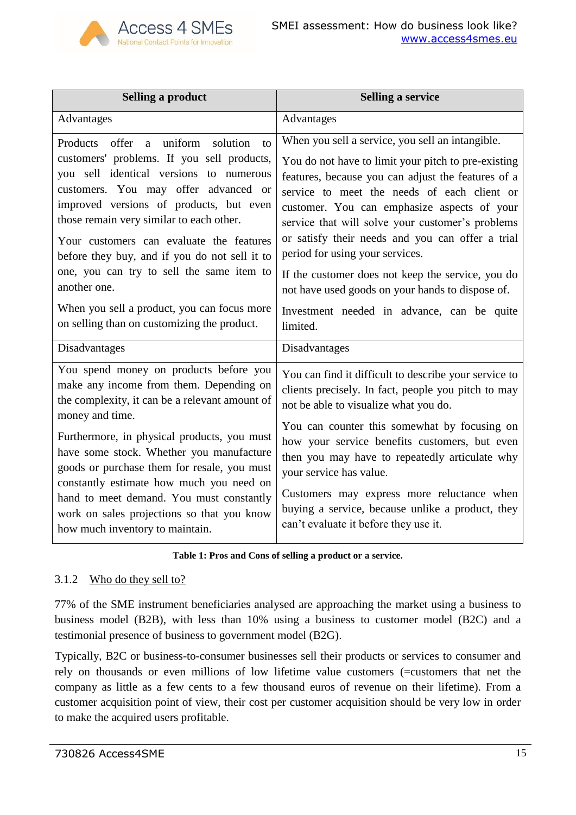

| <b>Selling a product</b>                                                                                                                                                                                                                                                                                                                                                                                                                                                                                                         | <b>Selling a service</b>                                                                                                                                                                                                                                                                                                                                                                                                                                                                                                                                                  |
|----------------------------------------------------------------------------------------------------------------------------------------------------------------------------------------------------------------------------------------------------------------------------------------------------------------------------------------------------------------------------------------------------------------------------------------------------------------------------------------------------------------------------------|---------------------------------------------------------------------------------------------------------------------------------------------------------------------------------------------------------------------------------------------------------------------------------------------------------------------------------------------------------------------------------------------------------------------------------------------------------------------------------------------------------------------------------------------------------------------------|
| Advantages                                                                                                                                                                                                                                                                                                                                                                                                                                                                                                                       | Advantages                                                                                                                                                                                                                                                                                                                                                                                                                                                                                                                                                                |
| uniform<br>solution<br>Products offer<br>a<br>to<br>customers' problems. If you sell products,<br>you sell identical versions to numerous<br>customers. You may offer advanced or<br>improved versions of products, but even<br>those remain very similar to each other.<br>Your customers can evaluate the features<br>before they buy, and if you do not sell it to<br>one, you can try to sell the same item to<br>another one.<br>When you sell a product, you can focus more<br>on selling than on customizing the product. | When you sell a service, you sell an intangible.<br>You do not have to limit your pitch to pre-existing<br>features, because you can adjust the features of a<br>service to meet the needs of each client or<br>customer. You can emphasize aspects of your<br>service that will solve your customer's problems<br>or satisfy their needs and you can offer a trial<br>period for using your services.<br>If the customer does not keep the service, you do<br>not have used goods on your hands to dispose of.<br>Investment needed in advance, can be quite<br>limited. |
| Disadvantages                                                                                                                                                                                                                                                                                                                                                                                                                                                                                                                    | Disadvantages                                                                                                                                                                                                                                                                                                                                                                                                                                                                                                                                                             |
| You spend money on products before you<br>make any income from them. Depending on<br>the complexity, it can be a relevant amount of<br>money and time.                                                                                                                                                                                                                                                                                                                                                                           | You can find it difficult to describe your service to<br>clients precisely. In fact, people you pitch to may<br>not be able to visualize what you do.                                                                                                                                                                                                                                                                                                                                                                                                                     |
| Furthermore, in physical products, you must<br>have some stock. Whether you manufacture<br>goods or purchase them for resale, you must<br>constantly estimate how much you need on                                                                                                                                                                                                                                                                                                                                               | You can counter this somewhat by focusing on<br>how your service benefits customers, but even<br>then you may have to repeatedly articulate why<br>your service has value.<br>Customers may express more reluctance when                                                                                                                                                                                                                                                                                                                                                  |
| hand to meet demand. You must constantly<br>work on sales projections so that you know<br>how much inventory to maintain.                                                                                                                                                                                                                                                                                                                                                                                                        | buying a service, because unlike a product, they<br>can't evaluate it before they use it.                                                                                                                                                                                                                                                                                                                                                                                                                                                                                 |

## **Table 1: Pros and Cons of selling a product or a service.**

## <span id="page-14-0"></span>3.1.2 Who do they sell to?

77% of the SME instrument beneficiaries analysed are approaching the market using a business to business model (B2B), with less than 10% using a business to customer model (B2C) and a testimonial presence of business to government model (B2G).

Typically, B2C or business-to-consumer businesses sell their products or services to consumer and rely on thousands or even millions of low lifetime value customers (=customers that net the company as little as a few cents to a few thousand euros of revenue on their lifetime). From a customer acquisition point of view, their cost per customer acquisition should be very low in order to make the acquired users profitable.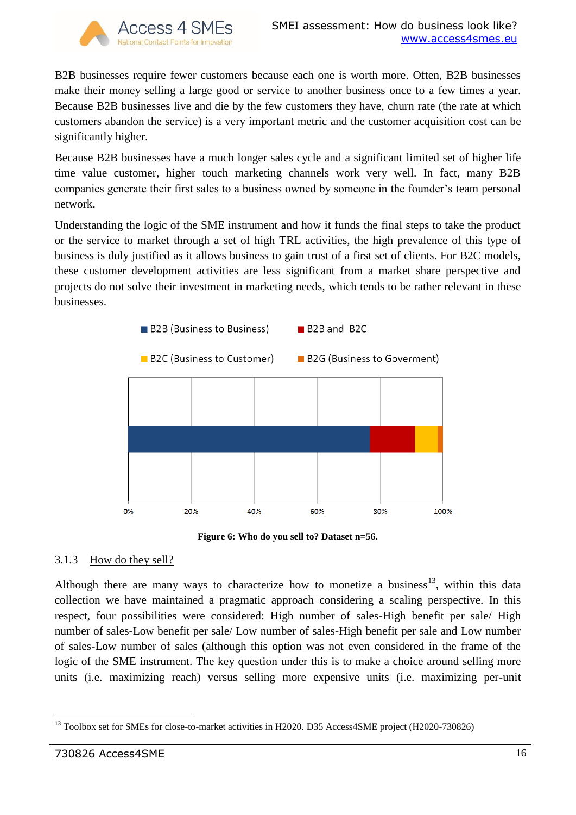

B2B businesses require fewer customers because each one is worth more. Often, B2B businesses make their money selling a large good or service to another business once to a few times a year. Because B2B businesses live and die by the few customers they have, churn rate (the rate at which customers abandon the service) is a very important metric and the customer acquisition cost can be significantly higher.

Because B2B businesses have a much longer sales cycle and a significant limited set of higher life time value customer, higher touch marketing channels work very well. In fact, many B2B companies generate their first sales to a business owned by someone in the founder's team personal network.

Understanding the logic of the SME instrument and how it funds the final steps to take the product or the service to market through a set of high TRL activities, the high prevalence of this type of business is duly justified as it allows business to gain trust of a first set of clients. For B2C models, these customer development activities are less significant from a market share perspective and projects do not solve their investment in marketing needs, which tends to be rather relevant in these businesses.



**Figure 6: Who do you sell to? Dataset n=56.**

## <span id="page-15-0"></span>3.1.3 How do they sell?

Although there are many ways to characterize how to monetize a business<sup>13</sup>, within this data collection we have maintained a pragmatic approach considering a scaling perspective. In this respect, four possibilities were considered: High number of sales-High benefit per sale/ High number of sales-Low benefit per sale/ Low number of sales-High benefit per sale and Low number of sales-Low number of sales (although this option was not even considered in the frame of the logic of the SME instrument. The key question under this is to make a choice around selling more units (i.e. maximizing reach) versus selling more expensive units (i.e. maximizing per-unit

<sup>1</sup> <sup>13</sup> Toolbox set for SMEs for close-to-market activities in H2020. D35 Access4SME project (H2020-730826)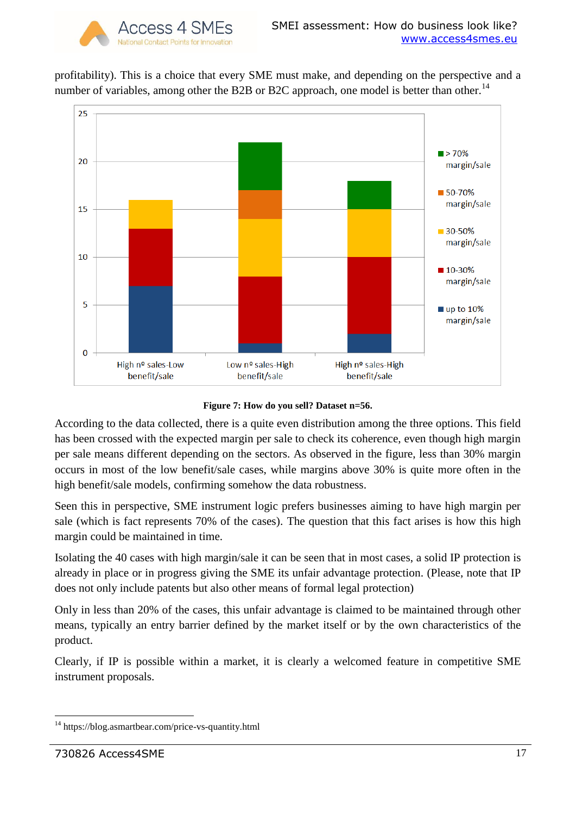profitability). This is a choice that every SME must make, and depending on the perspective and a number of variables, among other the B2B or B2C approach, one model is better than other.<sup>14</sup>





According to the data collected, there is a quite even distribution among the three options. This field has been crossed with the expected margin per sale to check its coherence, even though high margin per sale means different depending on the sectors. As observed in the figure, less than 30% margin occurs in most of the low benefit/sale cases, while margins above 30% is quite more often in the high benefit/sale models, confirming somehow the data robustness.

Seen this in perspective, SME instrument logic prefers businesses aiming to have high margin per sale (which is fact represents 70% of the cases). The question that this fact arises is how this high margin could be maintained in time.

Isolating the 40 cases with high margin/sale it can be seen that in most cases, a solid IP protection is already in place or in progress giving the SME its unfair advantage protection. (Please, note that IP does not only include patents but also other means of formal legal protection)

Only in less than 20% of the cases, this unfair advantage is claimed to be maintained through other means, typically an entry barrier defined by the market itself or by the own characteristics of the product.

Clearly, if IP is possible within a market, it is clearly a welcomed feature in competitive SME instrument proposals.

<sup>1</sup> <sup>14</sup> https://blog.asmartbear.com/price-vs-quantity.html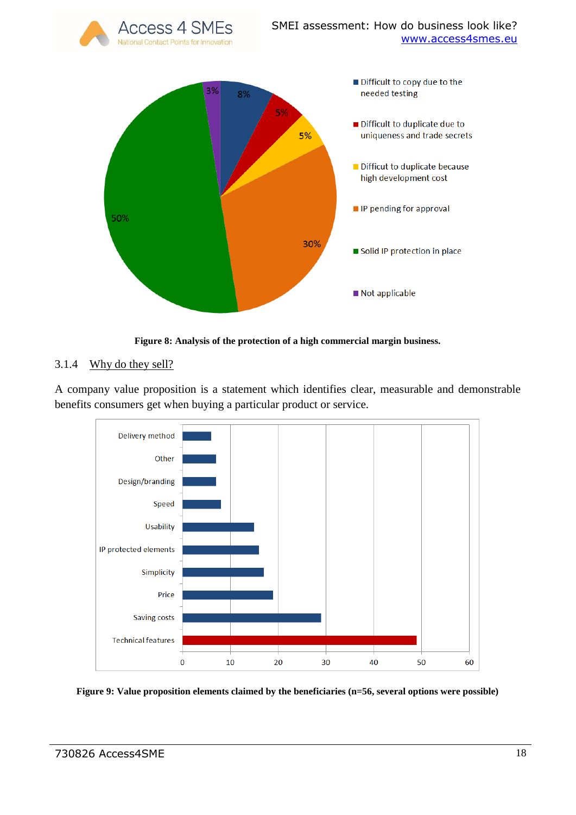

**Figure 8: Analysis of the protection of a high commercial margin business.**

# <span id="page-17-0"></span>3.1.4 Why do they sell?

A company value proposition is a statement which identifies clear, measurable and demonstrable benefits consumers get when buying a particular product or service.



**Figure 9: Value proposition elements claimed by the beneficiaries (n=56, several options were possible)**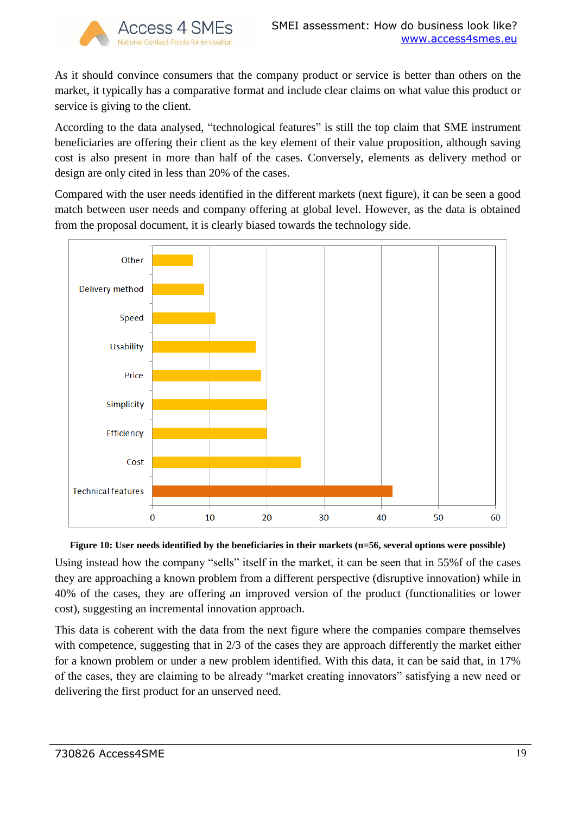

As it should convince consumers that the company product or service is better than others on the market, it typically has a comparative format and include clear claims on what value this product or service is giving to the client.

According to the data analysed, "technological features" is still the top claim that SME instrument beneficiaries are offering their client as the key element of their value proposition, although saving cost is also present in more than half of the cases. Conversely, elements as delivery method or design are only cited in less than 20% of the cases.

Compared with the user needs identified in the different markets (next figure), it can be seen a good match between user needs and company offering at global level. However, as the data is obtained from the proposal document, it is clearly biased towards the technology side.



#### **Figure 10: User needs identified by the beneficiaries in their markets (n=56, several options were possible)**

Using instead how the company "sells" itself in the market, it can be seen that in 55%f of the cases they are approaching a known problem from a different perspective (disruptive innovation) while in 40% of the cases, they are offering an improved version of the product (functionalities or lower cost), suggesting an incremental innovation approach.

This data is coherent with the data from the next figure where the companies compare themselves with competence, suggesting that in 2/3 of the cases they are approach differently the market either for a known problem or under a new problem identified. With this data, it can be said that, in 17% of the cases, they are claiming to be already "market creating innovators" satisfying a new need or delivering the first product for an unserved need.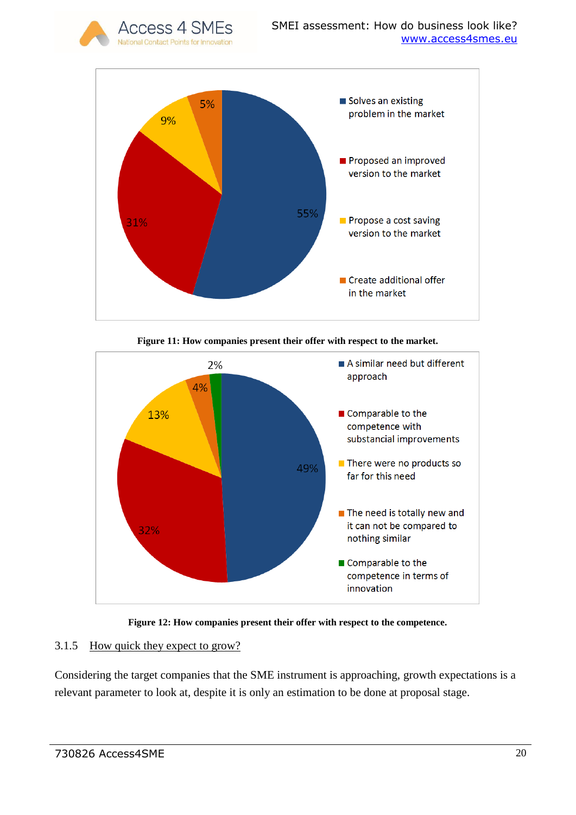



**Figure 11: How companies present their offer with respect to the market.**



**Figure 12: How companies present their offer with respect to the competence.**

# <span id="page-19-0"></span>3.1.5 How quick they expect to grow?

Considering the target companies that the SME instrument is approaching, growth expectations is a relevant parameter to look at, despite it is only an estimation to be done at proposal stage.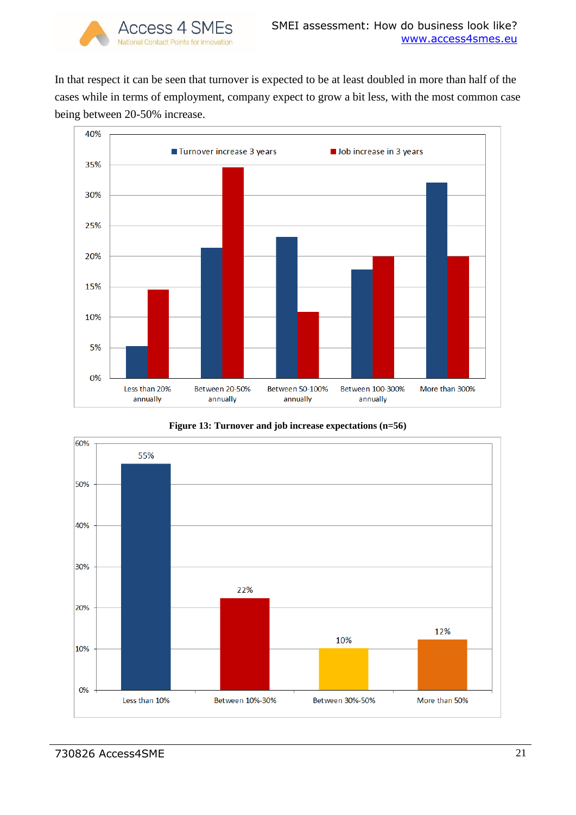In that respect it can be seen that turnover is expected to be at least doubled in more than half of the cases while in terms of employment, company expect to grow a bit less, with the most common case being between 20-50% increase.





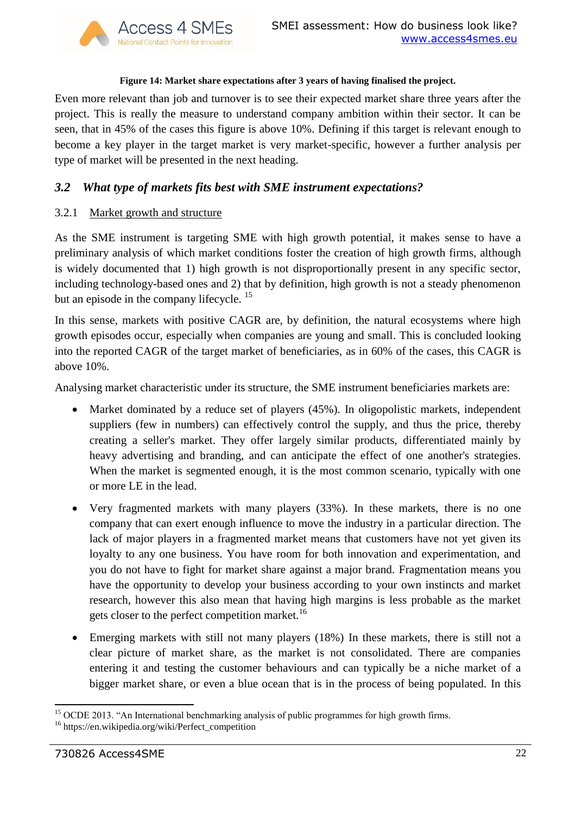#### **Figure 14: Market share expectations after 3 years of having finalised the project.**

Even more relevant than job and turnover is to see their expected market share three years after the project. This is really the measure to understand company ambition within their sector. It can be seen, that in 45% of the cases this figure is above 10%. Defining if this target is relevant enough to become a key player in the target market is very market-specific, however a further analysis per type of market will be presented in the next heading.

# <span id="page-21-0"></span>*3.2 What type of markets fits best with SME instrument expectations?*

## <span id="page-21-1"></span>3.2.1 Market growth and structure

As the SME instrument is targeting SME with high growth potential, it makes sense to have a preliminary analysis of which market conditions foster the creation of high growth firms, although is widely documented that 1) high growth is not disproportionally present in any specific sector, including technology-based ones and 2) that by definition, high growth is not a steady phenomenon but an episode in the company lifecycle.<sup>15</sup>

In this sense, markets with positive CAGR are, by definition, the natural ecosystems where high growth episodes occur, especially when companies are young and small. This is concluded looking into the reported CAGR of the target market of beneficiaries, as in 60% of the cases, this CAGR is above 10%.

Analysing market characteristic under its structure, the SME instrument beneficiaries markets are:

- Market dominated by a reduce set of players (45%). In oligopolistic markets, independent suppliers (few in numbers) can effectively control the supply, and thus the price, thereby creating a seller's market. They offer largely similar products, differentiated mainly by heavy advertising and branding, and can anticipate the effect of one another's strategies. When the market is segmented enough, it is the most common scenario, typically with one or more LE in the lead.
- Very fragmented markets with many players (33%). In these markets, there is no one company that can exert enough influence to move the industry in a particular direction. The lack of major players in a fragmented market means that customers have not yet given its loyalty to any one business. You have room for both innovation and experimentation, and you do not have to fight for market share against a major brand. Fragmentation means you have the opportunity to develop your business according to your own instincts and market research, however this also mean that having high margins is less probable as the market gets closer to the perfect competition market.<sup>16</sup>
- Emerging markets with still not many players (18%) In these markets, there is still not a clear picture of market share, as the market is not consolidated. There are companies entering it and testing the customer behaviours and can typically be a niche market of a bigger market share, or even a blue ocean that is in the process of being populated. In this

 $\overline{a}$ <sup>15</sup> OCDE 2013. "An International benchmarking analysis of public programmes for high growth firms.

<sup>16</sup> https://en.wikipedia.org/wiki/Perfect\_competition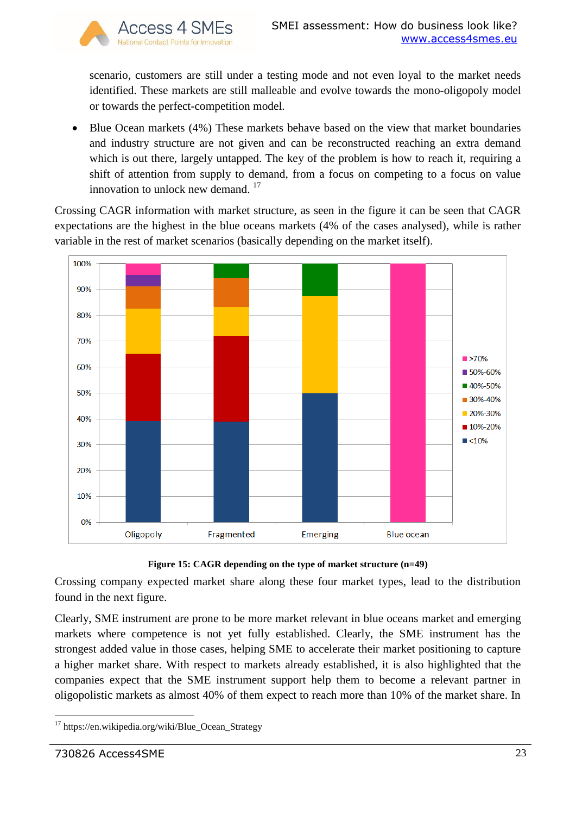

scenario, customers are still under a testing mode and not even loyal to the market needs identified. These markets are still malleable and evolve towards the mono-oligopoly model or towards the perfect-competition model.

• Blue Ocean markets (4%) These markets behave based on the view that market boundaries and industry structure are not given and can be reconstructed reaching an extra demand which is out there, largely untapped. The key of the problem is how to reach it, requiring a shift of attention from supply to demand, from a focus on competing to a focus on value innovation to unlock new demand.<sup>17</sup>

Crossing CAGR information with market structure, as seen in the figure it can be seen that CAGR expectations are the highest in the blue oceans markets (4% of the cases analysed), while is rather variable in the rest of market scenarios (basically depending on the market itself).



**Figure 15: CAGR depending on the type of market structure (n=49)**

Crossing company expected market share along these four market types, lead to the distribution found in the next figure.

Clearly, SME instrument are prone to be more market relevant in blue oceans market and emerging markets where competence is not yet fully established. Clearly, the SME instrument has the strongest added value in those cases, helping SME to accelerate their market positioning to capture a higher market share. With respect to markets already established, it is also highlighted that the companies expect that the SME instrument support help them to become a relevant partner in oligopolistic markets as almost 40% of them expect to reach more than 10% of the market share. In

<sup>1</sup> <sup>17</sup> https://en.wikipedia.org/wiki/Blue\_Ocean\_Strategy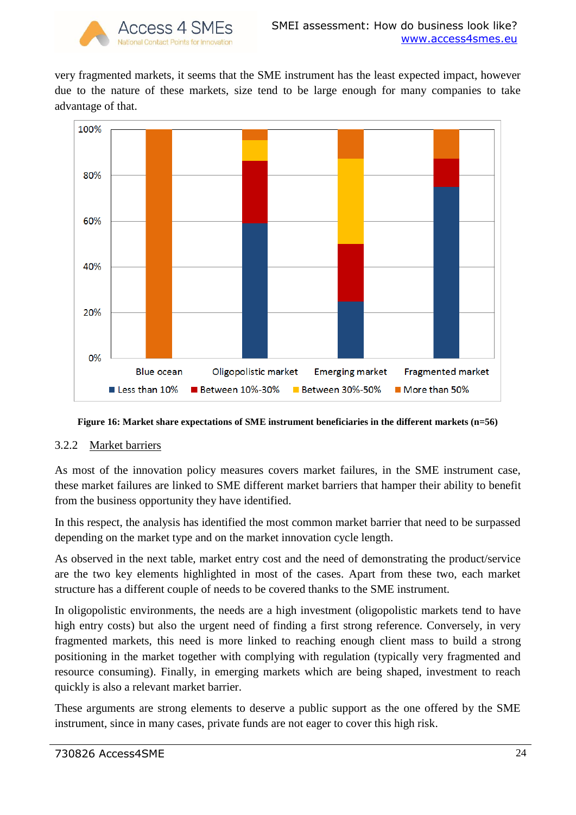very fragmented markets, it seems that the SME instrument has the least expected impact, however due to the nature of these markets, size tend to be large enough for many companies to take advantage of that.



**Figure 16: Market share expectations of SME instrument beneficiaries in the different markets (n=56)**

# <span id="page-23-0"></span>3.2.2 Market barriers

As most of the innovation policy measures covers market failures, in the SME instrument case, these market failures are linked to SME different market barriers that hamper their ability to benefit from the business opportunity they have identified.

In this respect, the analysis has identified the most common market barrier that need to be surpassed depending on the market type and on the market innovation cycle length.

As observed in the next table, market entry cost and the need of demonstrating the product/service are the two key elements highlighted in most of the cases. Apart from these two, each market structure has a different couple of needs to be covered thanks to the SME instrument.

In oligopolistic environments, the needs are a high investment (oligopolistic markets tend to have high entry costs) but also the urgent need of finding a first strong reference. Conversely, in very fragmented markets, this need is more linked to reaching enough client mass to build a strong positioning in the market together with complying with regulation (typically very fragmented and resource consuming). Finally, in emerging markets which are being shaped, investment to reach quickly is also a relevant market barrier.

These arguments are strong elements to deserve a public support as the one offered by the SME instrument, since in many cases, private funds are not eager to cover this high risk.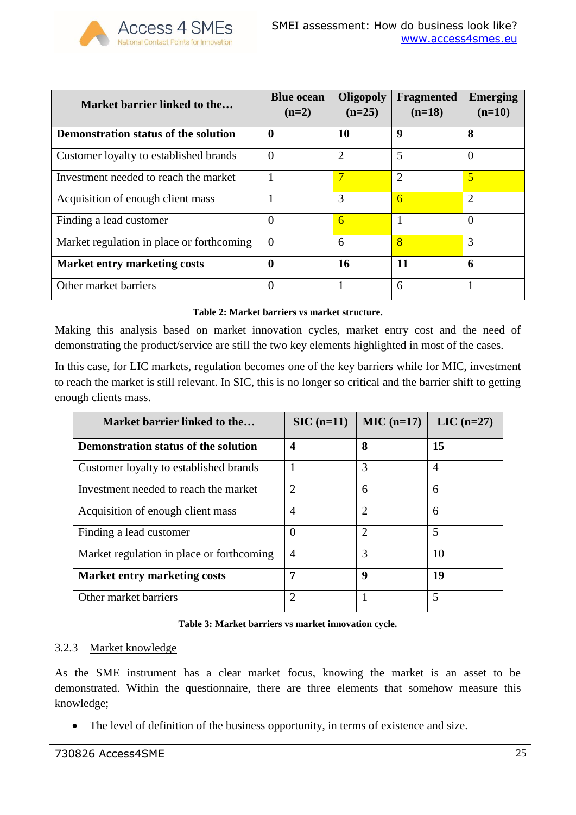| Market barrier linked to the                | <b>Blue ocean</b><br>$(n=2)$ | Oligopoly<br>$(n=25)$ | <b>Fragmented</b><br>$(n=18)$ | <b>Emerging</b><br>$(n=10)$ |
|---------------------------------------------|------------------------------|-----------------------|-------------------------------|-----------------------------|
| <b>Demonstration status of the solution</b> | 0                            | 10                    | 9                             | 8                           |
| Customer loyalty to established brands      | $\Omega$                     | $\overline{2}$        | 5                             | $\theta$                    |
| Investment needed to reach the market       |                              |                       | $\overline{2}$                | $\overline{5}$              |
| Acquisition of enough client mass           |                              | 3                     | 6                             | $\overline{2}$              |
| Finding a lead customer                     | 0                            | 6                     |                               | $\Omega$                    |
| Market regulation in place or forthcoming   | $\Omega$                     | 6                     | 8                             | 3                           |
| <b>Market entry marketing costs</b>         | 0                            | 16                    | 11                            | 6                           |
| Other market barriers                       | 0                            |                       | 6                             |                             |

Access 4 SMEs

**Table 2: Market barriers vs market structure.**

Making this analysis based on market innovation cycles, market entry cost and the need of demonstrating the product/service are still the two key elements highlighted in most of the cases.

In this case, for LIC markets, regulation becomes one of the key barriers while for MIC, investment to reach the market is still relevant. In SIC, this is no longer so critical and the barrier shift to getting enough clients mass.

| Market barrier linked to the                | $\rm SIC$ (n=11) | $MIC(n=17)$    | $LIC$ (n=27)   |
|---------------------------------------------|------------------|----------------|----------------|
| <b>Demonstration status of the solution</b> | $\boldsymbol{4}$ | 8              | 15             |
| Customer loyalty to established brands      | 1                | 3              | $\overline{4}$ |
| Investment needed to reach the market       | $\overline{2}$   | 6              | 6              |
| Acquisition of enough client mass           | $\overline{4}$   | $\overline{2}$ | 6              |
| Finding a lead customer                     | $\overline{0}$   | $\overline{2}$ | 5              |
| Market regulation in place or forthcoming   | $\overline{4}$   | 3              | 10             |
| <b>Market entry marketing costs</b>         | 7                | -9             | 19             |
| Other market barriers                       | 2                |                | 5              |

#### **Table 3: Market barriers vs market innovation cycle.**

#### <span id="page-24-0"></span>3.2.3 Market knowledge

As the SME instrument has a clear market focus, knowing the market is an asset to be demonstrated. Within the questionnaire, there are three elements that somehow measure this knowledge;

The level of definition of the business opportunity, in terms of existence and size.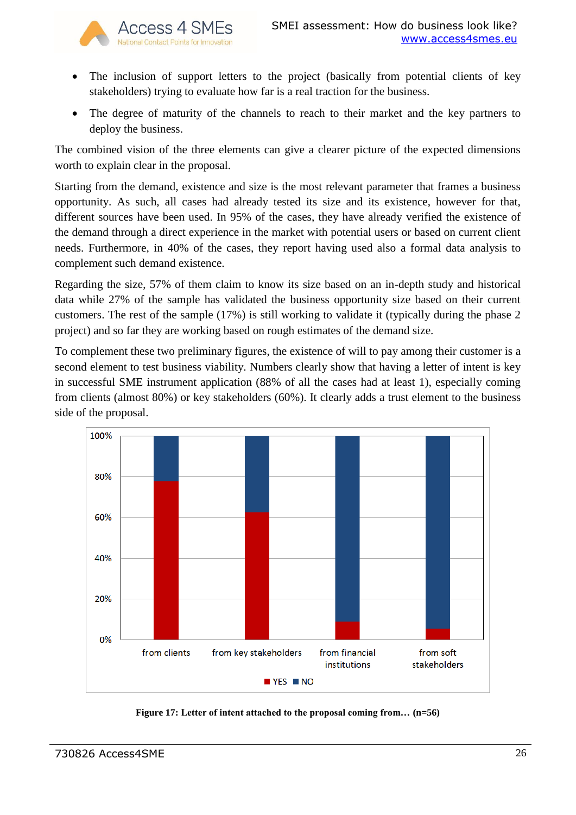

Access 4 SMEs

- The inclusion of support letters to the project (basically from potential clients of key stakeholders) trying to evaluate how far is a real traction for the business.
- The degree of maturity of the channels to reach to their market and the key partners to deploy the business.

The combined vision of the three elements can give a clearer picture of the expected dimensions worth to explain clear in the proposal.

Starting from the demand, existence and size is the most relevant parameter that frames a business opportunity. As such, all cases had already tested its size and its existence, however for that, different sources have been used. In 95% of the cases, they have already verified the existence of the demand through a direct experience in the market with potential users or based on current client needs. Furthermore, in 40% of the cases, they report having used also a formal data analysis to complement such demand existence.

Regarding the size, 57% of them claim to know its size based on an in-depth study and historical data while 27% of the sample has validated the business opportunity size based on their current customers. The rest of the sample (17%) is still working to validate it (typically during the phase 2 project) and so far they are working based on rough estimates of the demand size.

To complement these two preliminary figures, the existence of will to pay among their customer is a second element to test business viability. Numbers clearly show that having a letter of intent is key in successful SME instrument application (88% of all the cases had at least 1), especially coming from clients (almost 80%) or key stakeholders (60%). It clearly adds a trust element to the business side of the proposal.



**Figure 17: Letter of intent attached to the proposal coming from… (n=56)**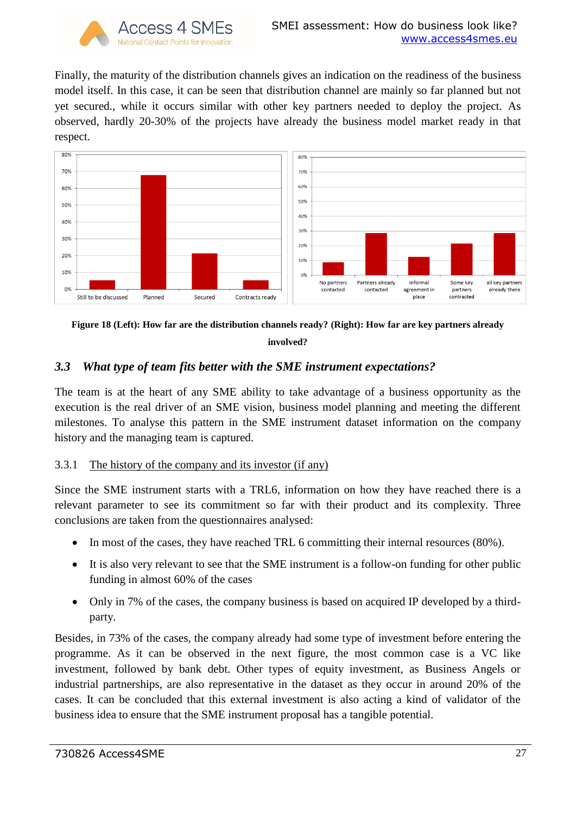

Finally, the maturity of the distribution channels gives an indication on the readiness of the business model itself. In this case, it can be seen that distribution channel are mainly so far planned but not yet secured., while it occurs similar with other key partners needed to deploy the project. As observed, hardly 20-30% of the projects have already the business model market ready in that respect.





## <span id="page-26-0"></span>*3.3 What type of team fits better with the SME instrument expectations?*

The team is at the heart of any SME ability to take advantage of a business opportunity as the execution is the real driver of an SME vision, business model planning and meeting the different milestones. To analyse this pattern in the SME instrument dataset information on the company history and the managing team is captured.

## <span id="page-26-1"></span>3.3.1 The history of the company and its investor (if any)

Since the SME instrument starts with a TRL6, information on how they have reached there is a relevant parameter to see its commitment so far with their product and its complexity. Three conclusions are taken from the questionnaires analysed:

- In most of the cases, they have reached TRL 6 committing their internal resources (80%).
- It is also very relevant to see that the SME instrument is a follow-on funding for other public funding in almost 60% of the cases
- Only in 7% of the cases, the company business is based on acquired IP developed by a thirdparty.

Besides, in 73% of the cases, the company already had some type of investment before entering the programme. As it can be observed in the next figure, the most common case is a VC like investment, followed by bank debt. Other types of equity investment, as Business Angels or industrial partnerships, are also representative in the dataset as they occur in around 20% of the cases. It can be concluded that this external investment is also acting a kind of validator of the business idea to ensure that the SME instrument proposal has a tangible potential.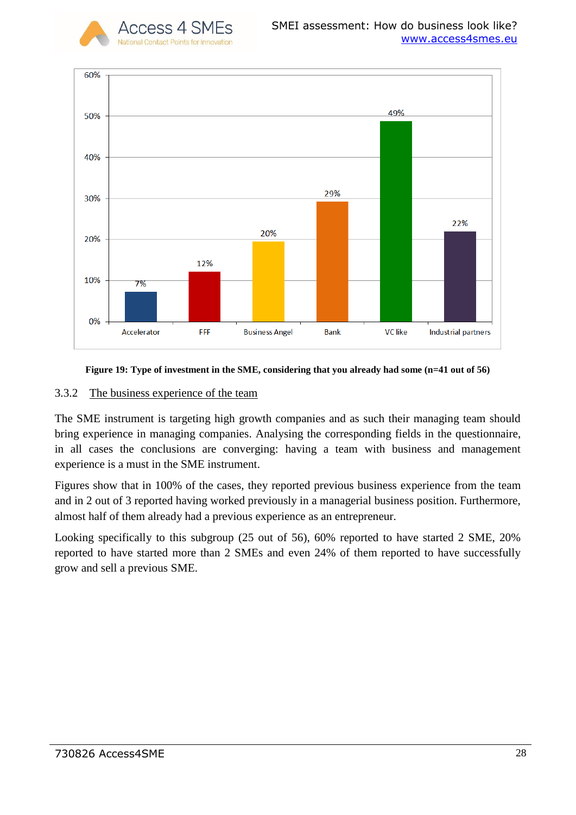



#### **Figure 19: Type of investment in the SME, considering that you already had some (n=41 out of 56)**

#### <span id="page-27-0"></span>3.3.2 The business experience of the team

The SME instrument is targeting high growth companies and as such their managing team should bring experience in managing companies. Analysing the corresponding fields in the questionnaire, in all cases the conclusions are converging: having a team with business and management experience is a must in the SME instrument.

Figures show that in 100% of the cases, they reported previous business experience from the team and in 2 out of 3 reported having worked previously in a managerial business position. Furthermore, almost half of them already had a previous experience as an entrepreneur.

Looking specifically to this subgroup (25 out of 56), 60% reported to have started 2 SME, 20% reported to have started more than 2 SMEs and even 24% of them reported to have successfully grow and sell a previous SME.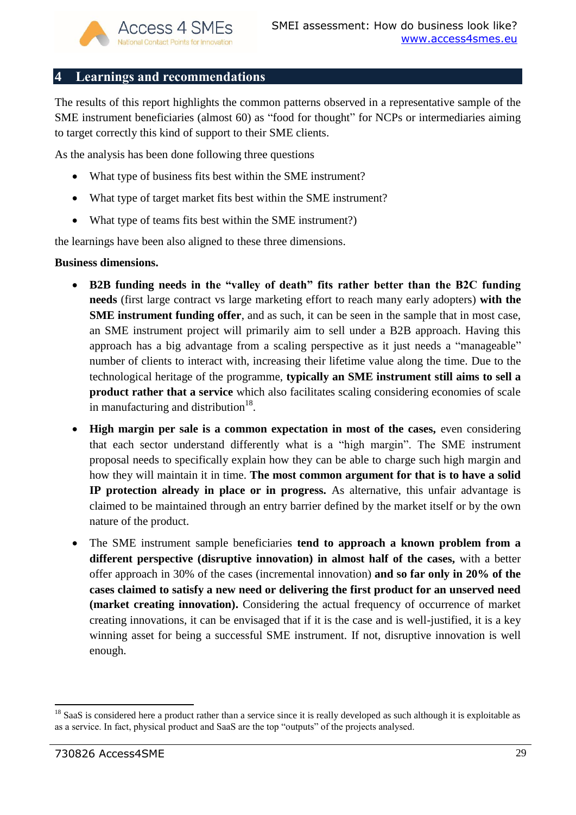## <span id="page-28-0"></span>**4 Learnings and recommendations**

The results of this report highlights the common patterns observed in a representative sample of the SME instrument beneficiaries (almost 60) as "food for thought" for NCPs or intermediaries aiming to target correctly this kind of support to their SME clients.

As the analysis has been done following three questions

- What type of business fits best within the SME instrument?
- What type of target market fits best within the SME instrument?
- What type of teams fits best within the SME instrument?)

the learnings have been also aligned to these three dimensions.

#### **Business dimensions.**

- **B2B funding needs in the "valley of death" fits rather better than the B2C funding needs** (first large contract vs large marketing effort to reach many early adopters) **with the SME instrument funding offer**, and as such, it can be seen in the sample that in most case, an SME instrument project will primarily aim to sell under a B2B approach. Having this approach has a big advantage from a scaling perspective as it just needs a "manageable" number of clients to interact with, increasing their lifetime value along the time. Due to the technological heritage of the programme, **typically an SME instrument still aims to sell a product rather that a service** which also facilitates scaling considering economies of scale in manufacturing and distribution $^{18}$ .
- **High margin per sale is a common expectation in most of the cases,** even considering that each sector understand differently what is a "high margin". The SME instrument proposal needs to specifically explain how they can be able to charge such high margin and how they will maintain it in time. **The most common argument for that is to have a solid IP protection already in place or in progress.** As alternative, this unfair advantage is claimed to be maintained through an entry barrier defined by the market itself or by the own nature of the product.
- The SME instrument sample beneficiaries **tend to approach a known problem from a different perspective (disruptive innovation) in almost half of the cases,** with a better offer approach in 30% of the cases (incremental innovation) **and so far only in 20% of the cases claimed to satisfy a new need or delivering the first product for an unserved need (market creating innovation).** Considering the actual frequency of occurrence of market creating innovations, it can be envisaged that if it is the case and is well-justified, it is a key winning asset for being a successful SME instrument. If not, disruptive innovation is well enough.

 $\overline{a}$ <sup>18</sup> SaaS is considered here a product rather than a service since it is really developed as such although it is exploitable as as a service. In fact, physical product and SaaS are the top "outputs" of the projects analysed.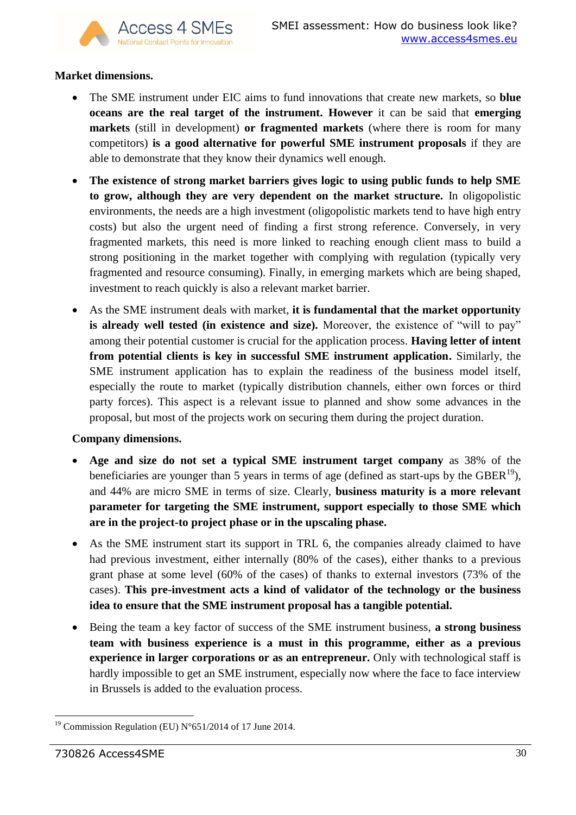## **Market dimensions.**

- The SME instrument under EIC aims to fund innovations that create new markets, so **blue oceans are the real target of the instrument. However** it can be said that **emerging markets** (still in development) **or fragmented markets** (where there is room for many competitors) **is a good alternative for powerful SME instrument proposals** if they are able to demonstrate that they know their dynamics well enough.
- **The existence of strong market barriers gives logic to using public funds to help SME to grow, although they are very dependent on the market structure.** In oligopolistic environments, the needs are a high investment (oligopolistic markets tend to have high entry costs) but also the urgent need of finding a first strong reference. Conversely, in very fragmented markets, this need is more linked to reaching enough client mass to build a strong positioning in the market together with complying with regulation (typically very fragmented and resource consuming). Finally, in emerging markets which are being shaped, investment to reach quickly is also a relevant market barrier.
- As the SME instrument deals with market, **it is fundamental that the market opportunity is already well tested (in existence and size).** Moreover, the existence of "will to pay" among their potential customer is crucial for the application process. **Having letter of intent from potential clients is key in successful SME instrument application.** Similarly, the SME instrument application has to explain the readiness of the business model itself, especially the route to market (typically distribution channels, either own forces or third party forces). This aspect is a relevant issue to planned and show some advances in the proposal, but most of the projects work on securing them during the project duration.

## **Company dimensions.**

- **Age and size do not set a typical SME instrument target company** as 38% of the beneficiaries are younger than 5 years in terms of age (defined as start-ups by the GBER $^{19}$ ), and 44% are micro SME in terms of size. Clearly, **business maturity is a more relevant parameter for targeting the SME instrument, support especially to those SME which are in the project-to project phase or in the upscaling phase.**
- As the SME instrument start its support in TRL 6, the companies already claimed to have had previous investment, either internally (80% of the cases), either thanks to a previous grant phase at some level (60% of the cases) of thanks to external investors (73% of the cases). **This pre-investment acts a kind of validator of the technology or the business idea to ensure that the SME instrument proposal has a tangible potential.**
- Being the team a key factor of success of the SME instrument business, **a strong business team with business experience is a must in this programme, either as a previous experience in larger corporations or as an entrepreneur.** Only with technological staff is hardly impossible to get an SME instrument, especially now where the face to face interview in Brussels is added to the evaluation process.

<sup>1</sup> <sup>19</sup> Commission Regulation (EU) N°651/2014 of 17 June 2014.